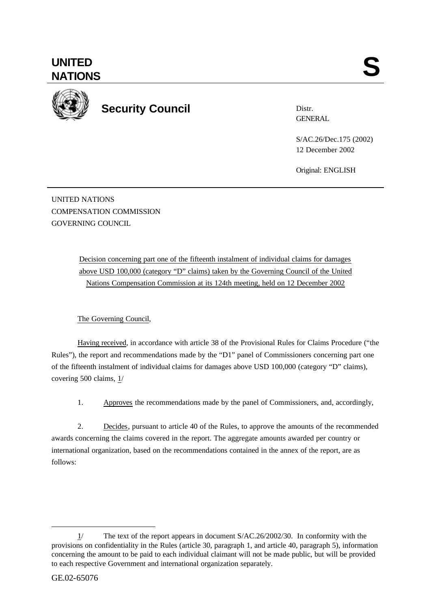

**Security Council**

Distr. **GENERAL** 

S/AC.26/Dec.175 (2002) 12 December 2002

Original: ENGLISH

UNITED NATIONS COMPENSATION COMMISSION GOVERNING COUNCIL

> Decision concerning part one of the fifteenth instalment of individual claims for damages above USD 100,000 (category "D" claims) taken by the Governing Council of the United Nations Compensation Commission at its 124th meeting, held on 12 December 2002

## The Governing Council,

Having received, in accordance with article 38 of the Provisional Rules for Claims Procedure ("the Rules"), the report and recommendations made by the "D1" panel of Commissioners concerning part one of the fifteenth instalment of individual claims for damages above USD 100,000 (category "D" claims), covering 500 claims,  $1/$ 

1. Approves the recommendations made by the panel of Commissioners, and, accordingly,

2. Decides, pursuant to article 40 of the Rules, to approve the amounts of the recommended awards concerning the claims covered in the report. The aggregate amounts awarded per country or international organization, based on the recommendations contained in the annex of the report, are as follows:

l

<sup>1/</sup> The text of the report appears in document S/AC.26/2002/30. In conformity with the provisions on confidentiality in the Rules (article 30, paragraph 1, and article 40, paragraph 5), information concerning the amount to be paid to each individual claimant will not be made public, but will be provided to each respective Government and international organization separately.